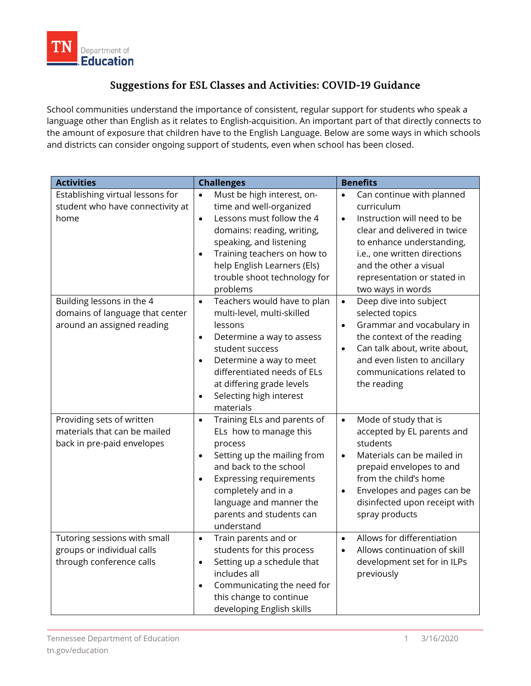

## **Suggestions for ESL Classes and Activities: COVID-19 Guidance**

School communities understand the importance of consistent, regular support for students who speak a language other than English as it relates to English-acquisition. An important part of that directly connects to the amount of exposure that children have to the English Language. Below are some ways in which schools and districts can consider ongoing support of students, even when school has been closed.

| <b>Activities</b>                                                                                                                                                          | <b>Challenges</b>                                                                                                                                                                                                                                                                                                                                                                                                                                                                                                                                  | <b>Benefits</b>                                                                                                                                                                                                                                                                                                                                                                                                                                                                                                                        |
|----------------------------------------------------------------------------------------------------------------------------------------------------------------------------|----------------------------------------------------------------------------------------------------------------------------------------------------------------------------------------------------------------------------------------------------------------------------------------------------------------------------------------------------------------------------------------------------------------------------------------------------------------------------------------------------------------------------------------------------|----------------------------------------------------------------------------------------------------------------------------------------------------------------------------------------------------------------------------------------------------------------------------------------------------------------------------------------------------------------------------------------------------------------------------------------------------------------------------------------------------------------------------------------|
| Establishing virtual lessons for<br>student who have connectivity at<br>home<br>Building lessons in the 4<br>domains of language that center<br>around an assigned reading | Must be high interest, on-<br>$\bullet$<br>time and well-organized<br>Lessons must follow the 4<br>$\bullet$<br>domains: reading, writing,<br>speaking, and listening<br>Training teachers on how to<br>$\bullet$<br>help English Learners (Els)<br>trouble shoot technology for<br>problems<br>Teachers would have to plan<br>$\bullet$<br>multi-level, multi-skilled<br>lessons<br>Determine a way to assess<br>$\bullet$<br>student success<br>Determine a way to meet<br>$\bullet$<br>differentiated needs of ELs<br>at differing grade levels | Can continue with planned<br>$\bullet$<br>curriculum<br>Instruction will need to be<br>$\bullet$<br>clear and delivered in twice<br>to enhance understanding,<br>i.e., one written directions<br>and the other a visual<br>representation or stated in<br>two ways in words<br>Deep dive into subject<br>$\bullet$<br>selected topics<br>Grammar and vocabulary in<br>$\bullet$<br>the context of the reading<br>Can talk about, write about,<br>$\bullet$<br>and even listen to ancillary<br>communications related to<br>the reading |
| Providing sets of written<br>materials that can be mailed<br>back in pre-paid envelopes                                                                                    | Selecting high interest<br>$\bullet$<br>materials<br>Training ELs and parents of<br>$\bullet$<br>ELs how to manage this<br>process<br>Setting up the mailing from<br>$\bullet$<br>and back to the school<br><b>Expressing requirements</b><br>$\bullet$<br>completely and in a<br>language and manner the<br>parents and students can<br>understand                                                                                                                                                                                                | Mode of study that is<br>$\bullet$<br>accepted by EL parents and<br>students<br>Materials can be mailed in<br>$\bullet$<br>prepaid envelopes to and<br>from the child's home<br>Envelopes and pages can be<br>$\bullet$<br>disinfected upon receipt with<br>spray products                                                                                                                                                                                                                                                             |
| Tutoring sessions with small<br>groups or individual calls<br>through conference calls                                                                                     | Train parents and or<br>$\bullet$<br>students for this process<br>Setting up a schedule that<br>$\bullet$<br>includes all<br>Communicating the need for<br>$\bullet$<br>this change to continue<br>developing English skills                                                                                                                                                                                                                                                                                                                       | Allows for differentiation<br>$\bullet$<br>Allows continuation of skill<br>$\bullet$<br>development set for in ILPs<br>previously                                                                                                                                                                                                                                                                                                                                                                                                      |